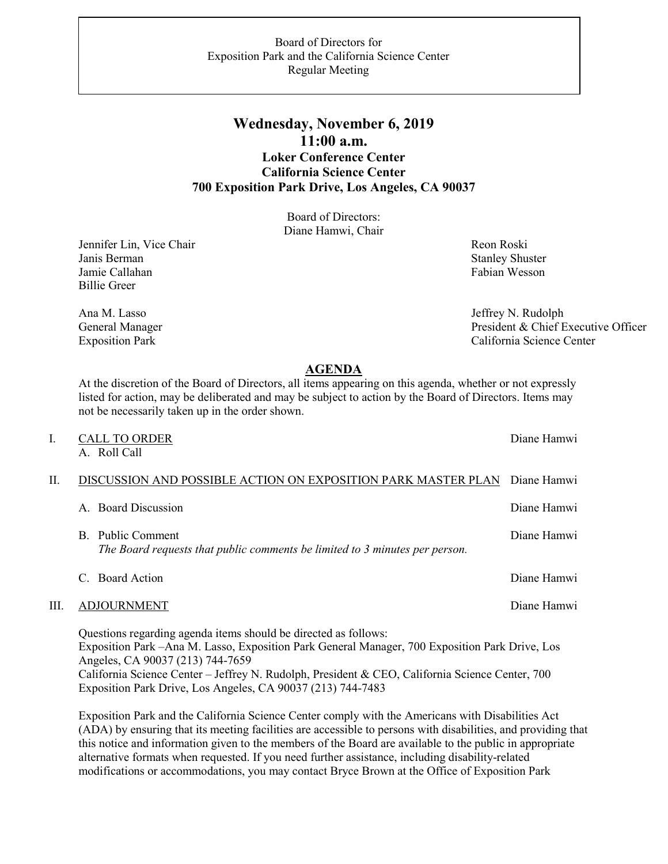## Board of Directors for Exposition Park and the California Science Center Regular Meeting

## **Wednesday, November 6, 2019 11:00 a.m. Loker Conference Center California Science Center 700 Exposition Park Drive, Los Angeles, CA 90037**

Board of Directors: Diane Hamwi, Chair

Jennifer Lin, Vice Chair Janis Berman Jamie Callahan Billie Greer

Ana M. Lasso General Manager Exposition Park

 Reon Roski Stanley Shuster Fabian Wesson

 Jeffrey N. Rudolph President & Chief Executive Officer California Science Center

## **AGENDA**

At the discretion of the Board of Directors, all items appearing on this agenda, whether or not expressly listed for action, may be deliberated and may be subject to action by the Board of Directors. Items may not be necessarily taken up in the order shown.

| I. | <b>CALL TO ORDER</b><br>A. Roll Call                                                                                                                                                                   | Diane Hamwi |
|----|--------------------------------------------------------------------------------------------------------------------------------------------------------------------------------------------------------|-------------|
| H. | DISCUSSION AND POSSIBLE ACTION ON EXPOSITION PARK MASTER PLAN                                                                                                                                          | Diane Hamwi |
|    | A. Board Discussion                                                                                                                                                                                    | Diane Hamwi |
|    | Public Comment<br>B.<br>The Board requests that public comments be limited to 3 minutes per person.                                                                                                    | Diane Hamwi |
|    | <b>Board Action</b>                                                                                                                                                                                    | Diane Hamwi |
| Ш. | <b>ADJOURNMENT</b>                                                                                                                                                                                     | Diane Hamwi |
|    | Questions regarding agenda items should be directed as follows:<br>Exposition Park – Ana M. Lasso, Exposition Park General Manager, 700 Exposition Park Drive, Los<br>Angeles, CA 90037 (213) 744-7659 |             |

California Science Center – Jeffrey N. Rudolph, President & CEO, California Science Center, 700 Exposition Park Drive, Los Angeles, CA 90037 (213) 744-7483

Exposition Park and the California Science Center comply with the Americans with Disabilities Act (ADA) by ensuring that its meeting facilities are accessible to persons with disabilities, and providing that this notice and information given to the members of the Board are available to the public in appropriate alternative formats when requested. If you need further assistance, including disability-related modifications or accommodations, you may contact Bryce Brown at the Office of Exposition Park